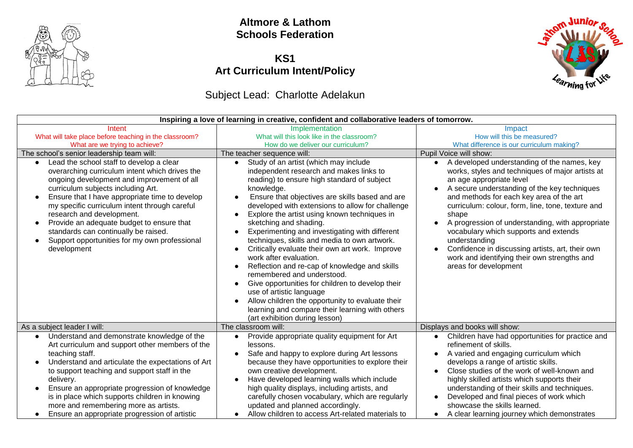

### **Altmore & Lathom Schools Federation**

#### **KS1 Art Curriculum Intent/Policy**

## Subject Lead: Charlotte Adelakun